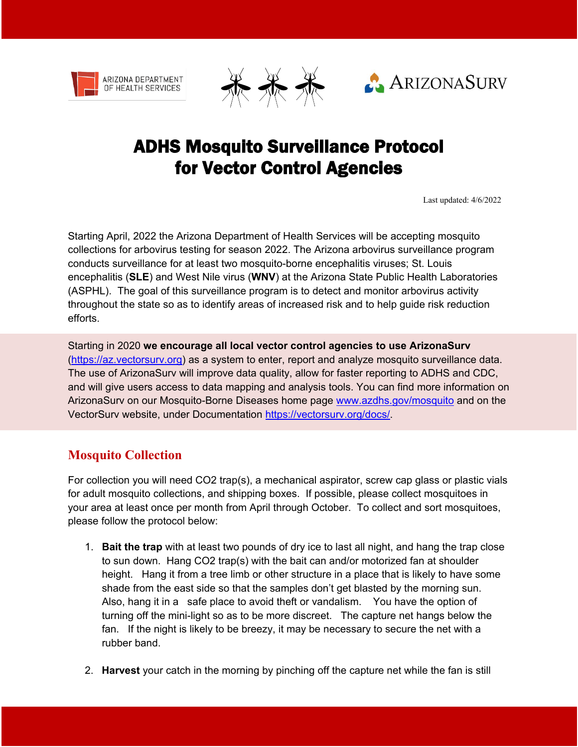





# ADHS Mosquito Surveillance Protocol for Vector Control Agencies

Last updated: 4/6/2022

Starting April, 2022 the Arizona Department of Health Services will be accepting mosquito collections for arbovirus testing for season 2022. The Arizona arbovirus surveillance program conducts surveillance for at least two mosquito-borne encephalitis viruses; St. Louis encephalitis (**SLE**) and West Nile virus (**WNV**) at the Arizona State Public Health Laboratories (ASPHL). The goal of this surveillance program is to detect and monitor arbovirus activity throughout the state so as to identify areas of increased risk and to help guide risk reduction efforts.

Starting in 2020 **we encourage all local vector control agencies to use ArizonaSurv**  [\(https://az.vectorsurv.org\)](https://calsurv.us20.list-manage.com/track/click?u=a8013f4a24f7b01bea2ad2434&id=e64462abb2&e=18a417d794) as a system to enter, report and analyze mosquito surveillance data. The use of ArizonaSurv will improve data quality, allow for faster reporting to ADHS and CDC, and will give users access to data mapping and analysis tools. You can find more information on ArizonaSurv on our Mosquito-Borne Diseases home page [www.azdhs.gov/mosquito](http://www.azdhs.gov/mosquito) and on the VectorSurv website, under Documentation [https://vectorsurv.org/docs/.](https://vectorsurv.org/docs/)

### **Mosquito Collection**

For collection you will need CO2 trap(s), a mechanical aspirator, screw cap glass or plastic vials for adult mosquito collections, and shipping boxes. If possible, please collect mosquitoes in your area at least once per month from April through October. To collect and sort mosquitoes, please follow the protocol below:

- 1. **Bait the trap** with at least two pounds of dry ice to last all night, and hang the trap close to sun down. Hang CO2 trap(s) with the bait can and/or motorized fan at shoulder height. Hang it from a tree limb or other structure in a place that is likely to have some shade from the east side so that the samples don't get blasted by the morning sun. Also, hang it in a safe place to avoid theft or vandalism. You have the option of turning off the mini-light so as to be more discreet. The capture net hangs below the fan. If the night is likely to be breezy, it may be necessary to secure the net with a rubber band.
- 2. **Harvest** your catch in the morning by pinching off the capture net while the fan is still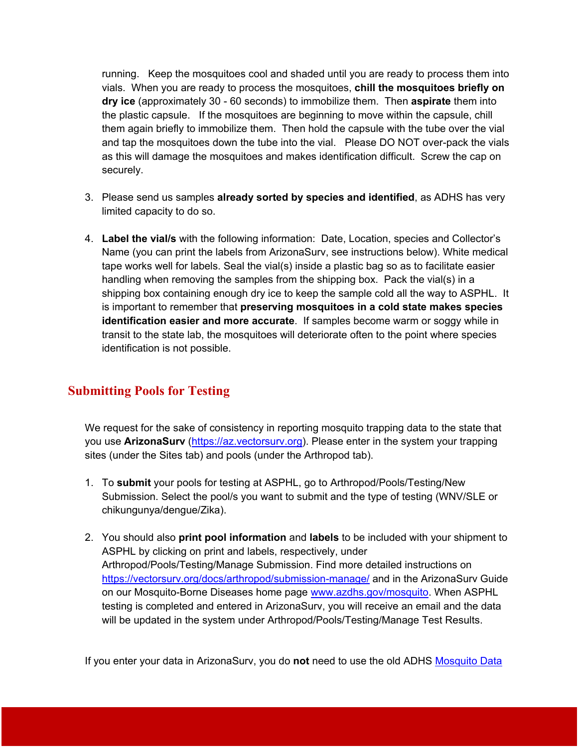running. Keep the mosquitoes cool and shaded until you are ready to process them into vials. When you are ready to process the mosquitoes, **chill the mosquitoes briefly on dry ice** (approximately 30 - 60 seconds) to immobilize them. Then **aspirate** them into the plastic capsule. If the mosquitoes are beginning to move within the capsule, chill them again briefly to immobilize them. Then hold the capsule with the tube over the vial and tap the mosquitoes down the tube into the vial. Please DO NOT over-pack the vials as this will damage the mosquitoes and makes identification difficult. Screw the cap on securely.

- 3. Please send us samples **already sorted by species and identified**, as ADHS has very limited capacity to do so.
- 4. **Label the vial/s** with the following information: Date, Location, species and Collector's Name (you can print the labels from ArizonaSurv, see instructions below). White medical tape works well for labels. Seal the vial(s) inside a plastic bag so as to facilitate easier handling when removing the samples from the shipping box. Pack the vial(s) in a shipping box containing enough dry ice to keep the sample cold all the way to ASPHL. It is important to remember that **preserving mosquitoes in a cold state makes species identification easier and more accurate**. If samples become warm or soggy while in transit to the state lab, the mosquitoes will deteriorate often to the point where species identification is not possible.

### **Submitting Pools for Testing**

We request for the sake of consistency in reporting mosquito trapping data to the state that you use **ArizonaSurv** [\(https://az.vectorsurv.org\)](https://calsurv.us20.list-manage.com/track/click?u=a8013f4a24f7b01bea2ad2434&id=e64462abb2&e=18a417d794). Please enter in the system your trapping sites (under the Sites tab) and pools (under the Arthropod tab).

- 1. To **submit** your pools for testing at ASPHL, go to Arthropod/Pools/Testing/New Submission. Select the pool/s you want to submit and the type of testing (WNV/SLE or chikungunya/dengue/Zika).
- 2. You should also **print pool information** and **labels** to be included with your shipment to ASPHL by clicking on print and labels, respectively, under Arthropod/Pools/Testing/Manage Submission. Find more detailed instructions on <https://vectorsurv.org/docs/arthropod/submission-manage/> and in the ArizonaSurv Guide on our Mosquito-Borne Diseases home page [www.azdhs.gov/mosquito.](http://www.azdhs.gov/mosquito) When ASPHL testing is completed and entered in ArizonaSurv, you will receive an email and the data will be updated in the system under Arthropod/Pools/Testing/Manage Test Results.

If you enter your data in ArizonaSurv, you do **not** need to use the old ADHS [Mosquito Data](https://www.azdhs.gov/documents/preparedness/epidemiology-disease-control/mosquito-borne/mosquito-data-submission.xlsx)